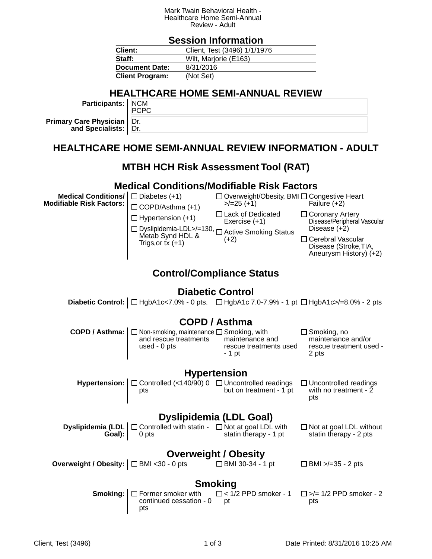#### Mark Twain Behavioral Health - Healthcare Home Semi-Annual Review - Adult

### **Session Information**

| Client:                | Client, Test (3496) 1/1/1976 |  |  |
|------------------------|------------------------------|--|--|
| Staff:                 | Wilt, Marjorie (E163)        |  |  |
| <b>Document Date:</b>  | 8/31/2016                    |  |  |
| <b>Client Program:</b> | (Not Set)                    |  |  |

## **HEALTHCARE HOME SEMI-ANNUAL REVIEW**

**Participants:** NCM PCPC

**Primary Care Physician and Specialists:** Dr. Dr.

## **HEALTHCARE HOME SEMI-ANNUAL REVIEW INFORMATION - ADULT**

## **MTBH HCH Risk Assessment Tool (RAT)**

#### **Medical Conditions/Modifiable Risk Factors**

**Medical Conditions/ Modifiable Risk Factors:**



Overweight/Obesity, BMI Congestive Heart  $>$ /=25 (+1) Failure (+2)

□ Lack of Dedicated

 $\Box$  Hypertension (+1)

Exercise (+1)

Metab Synd HDL &

Trigs, or  $tx (+1)$ 

Dyslipidemia-LDL>/=130, <sub>□</sub> Active Smoking Status  $(+2)$ 

□ Coronary Artery Disease/Peripheral Vascular Disease (+2)

□ Cerebral Vascular Disease (Stroke,TIA, Aneurysm History) (+2)

## **Control/Compliance Status**

### **Diabetic Control**

**Diabetic Control:**  $\Box$  HgbA1c<7.0% - 0 pts.  $\Box$  HgbA1c 7.0-7.9% - 1 pt  $\Box$  HgbA1c>/=8.0% - 2 pts

## **COPD / Asthma**

| <b>COPD / Asthma:</b> $\Box$ Non-smoking, maintenance $\Box$ Smoking, with |                                                     | $\Box$ Smoking, no                                     |
|----------------------------------------------------------------------------|-----------------------------------------------------|--------------------------------------------------------|
| and rescue treatments<br>used - $0$ pts                                    | maintenance and<br>rescue treatments used<br>- 1 pt | maintenance and/or<br>rescue treatment used -<br>2 pts |
|                                                                            |                                                     |                                                        |

#### **Hypertension**

**Hypertension:**  $\Box$  Controlled (<140/90) 0  $\Box$  Uncontrolled readings pts but on treatment - 1 pt □ Uncontrolled readings with no treatment -  $\overline{2}$ pts

## **Dyslipidemia (LDL Goal)**

| <b>Dyslipidemia (LDL</b> $\Box$ Controlled with statin - $\Box$ Not at goal LDL with |                       | $\Box$ Not at goal LDL without |
|--------------------------------------------------------------------------------------|-----------------------|--------------------------------|
| <b>Goal</b> ): 0 pts                                                                 | statin therapy - 1 pt | statin therapy - 2 pts         |

## **Overweight / Obesity**

**Overweight / Obesity:**  $\Box$  BMI <30 - 0 pts  $\Box$  BMI 30-34 - 1 pt  $\Box$  BMI >/=35 - 2 pts

## **Smoking**

**Smoking:**  $\Box$  Former smoker with continued cessation - 0 pts  $\Box$  < 1/2 PPD smoker - 1 pt  $\Box$  >/= 1/2 PPD smoker - 2 pts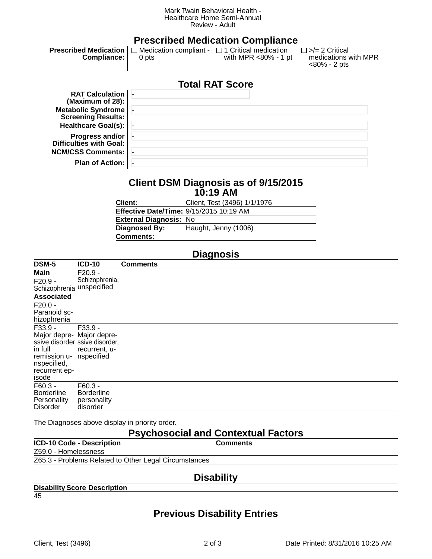#### Mark Twain Behavioral Health - Healthcare Home Semi-Annual Review - Adult

|                                                        |                                                                     | <b>Prescribed Medication Compliance</b> |                                                               |
|--------------------------------------------------------|---------------------------------------------------------------------|-----------------------------------------|---------------------------------------------------------------|
| <b>Prescribed Medication</b><br><b>Compliance:</b>     | $\Box$ Medication compliant - $\Box$ 1 Critical medication<br>0 pts | with MPR <80% - 1 pt                    | $\Box$ >/= 2 Critical<br>medications with MPR<br><80% - 2 pts |
|                                                        |                                                                     | <b>Total RAT Score</b>                  |                                                               |
| <b>RAT Calculation</b><br>(Maximum of 28):             |                                                                     |                                         |                                                               |
| <b>Metabolic Syndrome</b><br><b>Screening Results:</b> |                                                                     |                                         |                                                               |
| Healthcare Goal(s):                                    |                                                                     |                                         |                                                               |
| <b>Progress and/or</b><br>Difficulties with Goal:      |                                                                     |                                         |                                                               |
| <b>NCM/CSS Comments:</b>                               |                                                                     |                                         |                                                               |
| <b>Plan of Action:</b>                                 |                                                                     |                                         |                                                               |

#### **Client DSM Diagnosis as of 9/15/2015 10:19 AM**

| Client:                                 | Client, Test (3496) 1/1/1976 |
|-----------------------------------------|------------------------------|
| Effective Date/Time: 9/15/2015 10:19 AM |                              |
| <b>External Diagnosis: No</b>           |                              |
| Diagnosed By:                           | Haught, Jenny (1006)         |
| Comments:                               |                              |
|                                         |                              |

# **Diagnosis**

| DSM-5                                                                                                    | <b>ICD-10</b>                                                              | <b>Comments</b> |
|----------------------------------------------------------------------------------------------------------|----------------------------------------------------------------------------|-----------------|
| <b>Main</b><br>$F20.9 -$<br>Schizophrenia unspecified                                                    | $F20.9 -$<br>Schizophrenia,                                                |                 |
| <b>Associated</b>                                                                                        |                                                                            |                 |
| $F20.0 -$<br>Paranoid sc-<br>hizophrenia                                                                 |                                                                            |                 |
| F33.9 -<br>Major depre- Major depre-<br>in full<br>remission u-<br>nspecified,<br>recurrent ep-<br>isode | $F33.9 -$<br>ssive disorder ssive disorder,<br>recurrent, u-<br>nspecified |                 |
| $F60.3 -$<br><b>Borderline</b><br>Personality<br><b>Disorder</b>                                         | $F60.3 -$<br><b>Borderline</b><br>personality<br>disorder                  |                 |
|                                                                                                          |                                                                            |                 |

The Diagnoses above display in priority order.

# **Psychosocial and Contextual Factors**

| <b>ICD-10 Code - Description</b>                      | <b>Comments</b>                                                   |
|-------------------------------------------------------|-------------------------------------------------------------------|
| Z59.0 - Homelessness                                  |                                                                   |
| Z65.3 - Problems Related to Other Legal Circumstances |                                                                   |
|                                                       |                                                                   |
|                                                       | $\mathbf{D}$ , and $\mathbf{D}$ and $\mathbf{D}$ and $\mathbf{D}$ |

#### **Disability**

#### **Disability Score Description**

45

# **Previous Disability Entries**